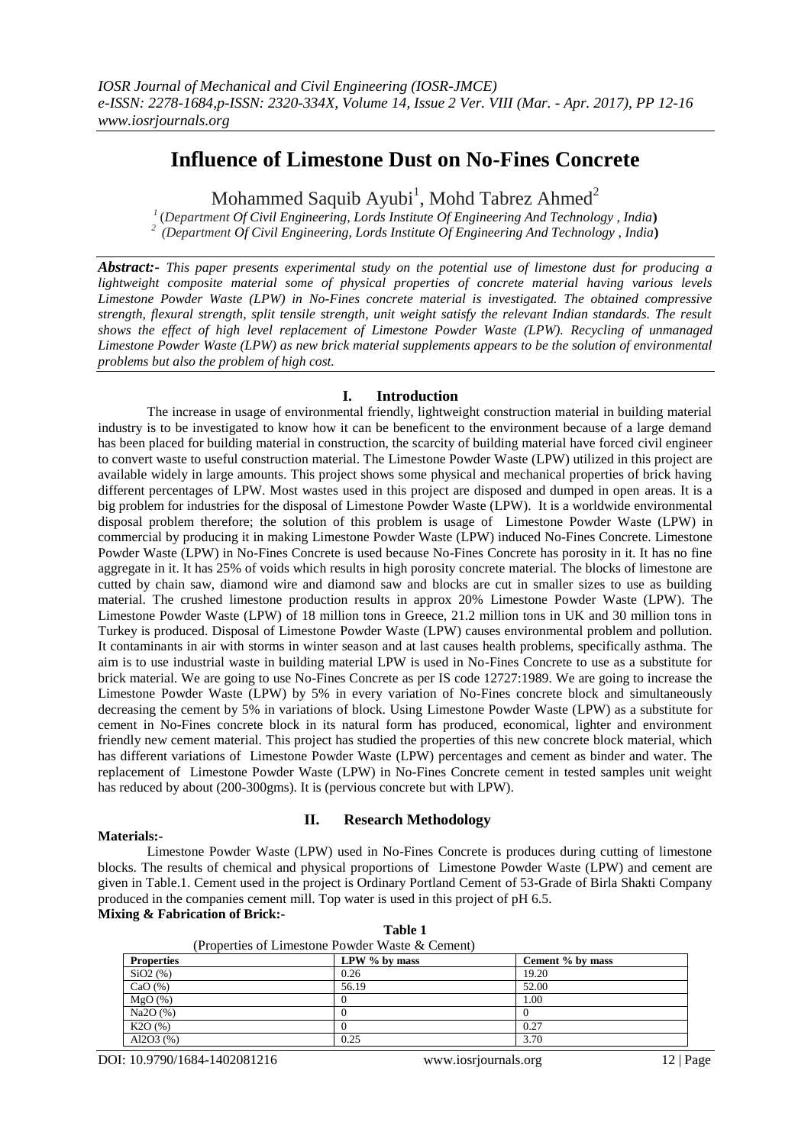# **Influence of Limestone Dust on No-Fines Concrete**

Mohammed Saquib Ayubi<sup>1</sup>, Mohd Tabrez Ahmed<sup>2</sup>

*1* (*Department Of Civil Engineering, Lords Institute Of Engineering And Technology , India***)** *2 (Department Of Civil Engineering, Lords Institute Of Engineering And Technology , India***)**

*Abstract:- This paper presents experimental study on the potential use of limestone dust for producing a lightweight composite material some of physical properties of concrete material having various levels Limestone Powder Waste (LPW) in No-Fines concrete material is investigated. The obtained compressive strength, flexural strength, split tensile strength, unit weight satisfy the relevant Indian standards. The result shows the effect of high level replacement of Limestone Powder Waste (LPW). Recycling of unmanaged Limestone Powder Waste (LPW) as new brick material supplements appears to be the solution of environmental problems but also the problem of high cost.*

# **I. Introduction**

The increase in usage of environmental friendly, lightweight construction material in building material industry is to be investigated to know how it can be beneficent to the environment because of a large demand has been placed for building material in construction, the scarcity of building material have forced civil engineer to convert waste to useful construction material. The Limestone Powder Waste (LPW) utilized in this project are available widely in large amounts. This project shows some physical and mechanical properties of brick having different percentages of LPW. Most wastes used in this project are disposed and dumped in open areas. It is a big problem for industries for the disposal of Limestone Powder Waste (LPW). It is a worldwide environmental disposal problem therefore; the solution of this problem is usage of Limestone Powder Waste (LPW) in commercial by producing it in making Limestone Powder Waste (LPW) induced No-Fines Concrete. Limestone Powder Waste (LPW) in No-Fines Concrete is used because No-Fines Concrete has porosity in it. It has no fine aggregate in it. It has 25% of voids which results in high porosity concrete material. The blocks of limestone are cutted by chain saw, diamond wire and diamond saw and blocks are cut in smaller sizes to use as building material. The crushed limestone production results in approx 20% Limestone Powder Waste (LPW). The Limestone Powder Waste (LPW) of 18 million tons in Greece, 21.2 million tons in UK and 30 million tons in Turkey is produced. Disposal of Limestone Powder Waste (LPW) causes environmental problem and pollution. It contaminants in air with storms in winter season and at last causes health problems, specifically asthma. The aim is to use industrial waste in building material LPW is used in No-Fines Concrete to use as a substitute for brick material. We are going to use No-Fines Concrete as per IS code 12727:1989. We are going to increase the Limestone Powder Waste (LPW) by 5% in every variation of No-Fines concrete block and simultaneously decreasing the cement by 5% in variations of block. Using Limestone Powder Waste (LPW) as a substitute for cement in No-Fines concrete block in its natural form has produced, economical, lighter and environment friendly new cement material. This project has studied the properties of this new concrete block material, which has different variations of Limestone Powder Waste (LPW) percentages and cement as binder and water. The replacement of Limestone Powder Waste (LPW) in No-Fines Concrete cement in tested samples unit weight has reduced by about (200-300gms). It is (pervious concrete but with LPW).

## **Materials:-**

# **II. Research Methodology**

Limestone Powder Waste (LPW) used in No-Fines Concrete is produces during cutting of limestone blocks. The results of chemical and physical proportions of Limestone Powder Waste (LPW) and cement are given in Table.1. Cement used in the project is Ordinary Portland Cement of 53-Grade of Birla Shakti Company produced in the companies cement mill. Top water is used in this project of pH 6.5. **Mixing & Fabrication of Brick:-** 

| (Properties of Limestone Powder Waste & Cement) |               |                  |  |  |
|-------------------------------------------------|---------------|------------------|--|--|
| <b>Properties</b>                               | LPW % by mass | Cement % by mass |  |  |
| $SiO2$ (%)                                      | 0.26          | 19.20            |  |  |
| CaO $(\%)$                                      | 56.19         | 52.00            |  |  |
| MgO(%)                                          |               | 1.00             |  |  |
| Na2O(%)                                         |               |                  |  |  |
| K2O(%)                                          |               | 0.27             |  |  |
| Al2O3 $(%)$                                     | 0.25          | 3.70             |  |  |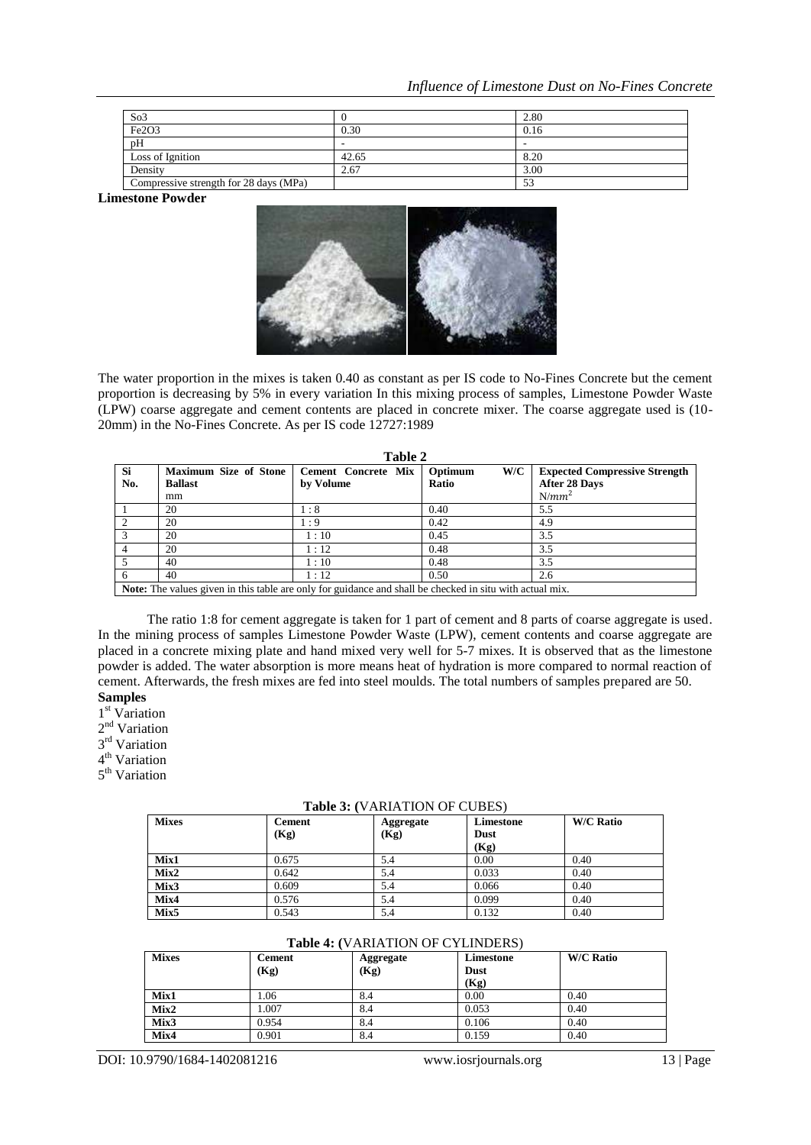| So <sub>3</sub>                        |                          | 2.80      |
|----------------------------------------|--------------------------|-----------|
| Fe2O3                                  | 0.30                     | 0.16      |
| pH                                     | $\overline{\phantom{a}}$ |           |
| Loss of Ignition                       | 42.65                    | 8.20      |
| Density                                | 2.67                     | 3.00      |
| Compressive strength for 28 days (MPa) |                          | د -<br>ЭĴ |

**Limestone Powder**



The water proportion in the mixes is taken 0.40 as constant as per IS code to No-Fines Concrete but the cement proportion is decreasing by 5% in every variation In this mixing process of samples, Limestone Powder Waste (LPW) coarse aggregate and cement contents are placed in concrete mixer. The coarse aggregate used is (10- 20mm) in the No-Fines Concrete. As per IS code 12727:1989

| Table 2                                                                                                         |                              |                            |                |                                      |  |  |
|-----------------------------------------------------------------------------------------------------------------|------------------------------|----------------------------|----------------|--------------------------------------|--|--|
| Si                                                                                                              | <b>Maximum Size of Stone</b> | <b>Cement Concrete Mix</b> | W/C<br>Optimum | <b>Expected Compressive Strength</b> |  |  |
| No.                                                                                                             | <b>Ballast</b>               | by Volume                  | Ratio          | <b>After 28 Days</b>                 |  |  |
|                                                                                                                 | mm                           |                            |                | $N/mm^2$                             |  |  |
|                                                                                                                 | 20                           | $\therefore 8$             | 0.40           | 5.5                                  |  |  |
|                                                                                                                 | 20                           | $\cdot$ 9                  | 0.42           | 4.9                                  |  |  |
|                                                                                                                 | 20                           | 1:10                       | 0.45           | 3.5                                  |  |  |
|                                                                                                                 | 20                           | 1:12                       | 0.48           | 3.5                                  |  |  |
|                                                                                                                 | 40                           | 1:10                       | 0.48           | 3.5                                  |  |  |
|                                                                                                                 | 40                           | 1:12                       | 0.50           | 2.6                                  |  |  |
| <b>Note:</b> The values given in this table are only for guidance and shall be checked in situ with actual mix. |                              |                            |                |                                      |  |  |

The ratio 1:8 for cement aggregate is taken for 1 part of cement and 8 parts of coarse aggregate is used. In the mining process of samples Limestone Powder Waste (LPW), cement contents and coarse aggregate are placed in a concrete mixing plate and hand mixed very well for 5-7 mixes. It is observed that as the limestone powder is added. The water absorption is more means heat of hydration is more compared to normal reaction of cement. Afterwards, the fresh mixes are fed into steel moulds. The total numbers of samples prepared are 50. **Samples**

- 1<sup>st</sup> Variation
- 2<sup>nd</sup> Variation
- 3<sup>rd</sup> Variation

4<sup>th</sup> Variation

5<sup>th</sup> Variation

### **Table 3: (**VARIATION OF CUBES)

| <b>Mixes</b>     | <b>Cement</b> | Aggregate | Limestone   | <b>W/C Ratio</b> |
|------------------|---------------|-----------|-------------|------------------|
|                  | (Kg)          | (Kg)      | <b>Dust</b> |                  |
|                  |               |           | (Kg)        |                  |
| Mix1             | 0.675         | 5.4       | 0.00        | 0.40             |
| Mix2             | 0.642         | 5.4       | 0.033       | 0.40             |
| Mix3             | 0.609         | 5.4       | 0.066       | 0.40             |
| Mix4             | 0.576         | 5.4       | 0.099       | 0.40             |
| Mix <sub>5</sub> | 0.543         | 5.4       | 0.132       | 0.40             |

### **Table 4: (**VARIATION OF CYLINDERS)

| <b>Mixes</b> | <b>Cement</b> | Aggregate | Limestone   | <b>W/C Ratio</b> |
|--------------|---------------|-----------|-------------|------------------|
|              | (Kg)          | (Kg)      | <b>Dust</b> |                  |
|              |               |           | (Kg)        |                  |
| Mix1         | l.06          | 8.4       | 0.00        | 0.40             |
| Mix2         | 1.007         | 8.4       | 0.053       | 0.40             |
| Mix3         | 0.954         | 8.4       | 0.106       | 0.40             |
| Mix4         | 0.901         | 8.4       | 0.159       | 0.40             |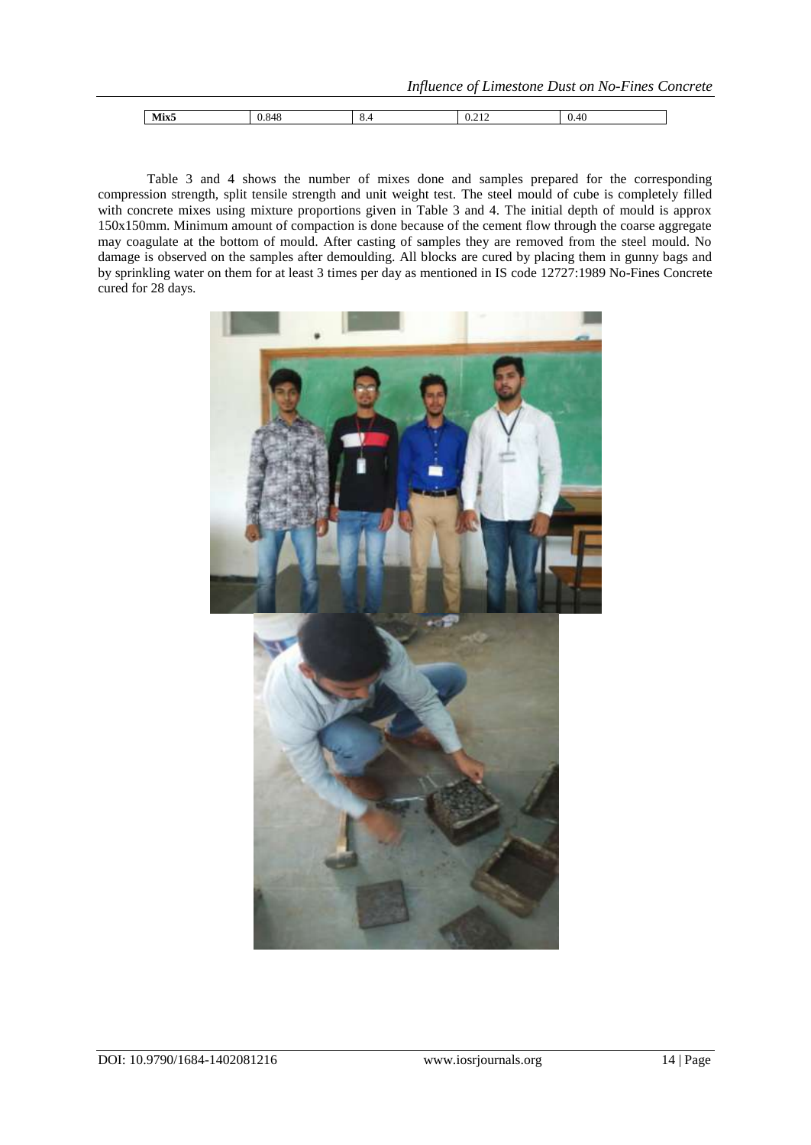| Mix <sub>5</sub> | v.v<br>᠇ | ∪.⊤ | $\cup$ . $\sim$ 1 $\sim$ | 41<br>v. Tu |
|------------------|----------|-----|--------------------------|-------------|
|                  |          |     |                          |             |

Table 3 and 4 shows the number of mixes done and samples prepared for the corresponding compression strength, split tensile strength and unit weight test. The steel mould of cube is completely filled with concrete mixes using mixture proportions given in Table 3 and 4. The initial depth of mould is approx 150x150mm. Minimum amount of compaction is done because of the cement flow through the coarse aggregate may coagulate at the bottom of mould. After casting of samples they are removed from the steel mould. No damage is observed on the samples after demoulding. All blocks are cured by placing them in gunny bags and by sprinkling water on them for at least 3 times per day as mentioned in IS code 12727:1989 No-Fines Concrete cured for 28 days.

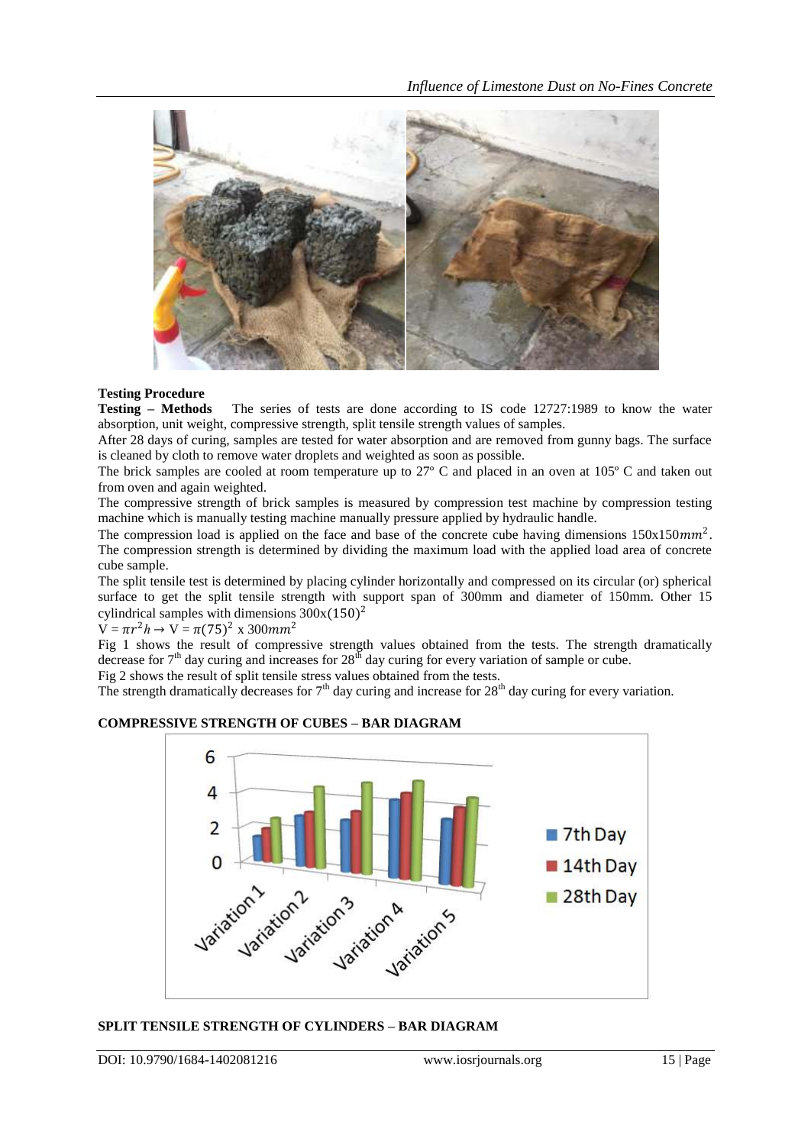

**Testing Procedure** The series of tests are done according to IS code 12727:1989 to know the water absorption, unit weight, compressive strength, split tensile strength values of samples.

After 28 days of curing, samples are tested for water absorption and are removed from gunny bags. The surface is cleaned by cloth to remove water droplets and weighted as soon as possible.

The brick samples are cooled at room temperature up to 27º C and placed in an oven at 105º C and taken out from oven and again weighted.

The compressive strength of brick samples is measured by compression test machine by compression testing machine which is manually testing machine manually pressure applied by hydraulic handle.

The compression load is applied on the face and base of the concrete cube having dimensions  $150x150mm^2$ . The compression strength is determined by dividing the maximum load with the applied load area of concrete cube sample.

The split tensile test is determined by placing cylinder horizontally and compressed on its circular (or) spherical surface to get the split tensile strength with support span of 300mm and diameter of 150mm. Other 15 cylindrical samples with dimensions  $300x(150)^2$ 

 $V = \pi r^2 h \rightarrow V = \pi (75)^2$  x 300mm<sup>2</sup>

Fig 1 shows the result of compressive strength values obtained from the tests. The strength dramatically decrease for  $7<sup>th</sup>$  day curing and increases for  $28<sup>th</sup>$  day curing for every variation of sample or cube.

Fig 2 shows the result of split tensile stress values obtained from the tests.

The strength dramatically decreases for  $7<sup>th</sup>$  day curing and increase for  $28<sup>th</sup>$  day curing for every variation.

# **COMPRESSIVE STRENGTH OF CUBES – BAR DIAGRAM**



## **SPLIT TENSILE STRENGTH OF CYLINDERS – BAR DIAGRAM**